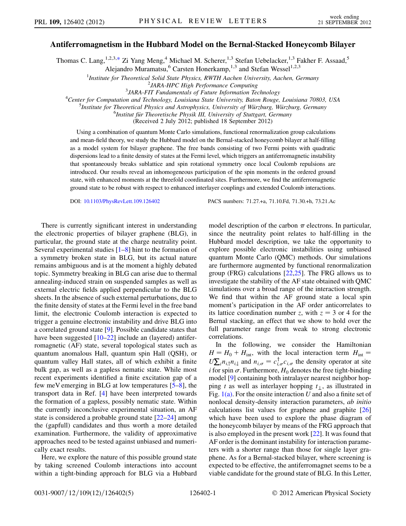## <span id="page-0-0"></span>Antiferromagnetism in the Hubbard Model on the Bernal-Stacked Honeycomb Bilayer

Thomas C. Lang,<sup>1,2,3[,\\*](#page-3-0)</sup> Zi Yang Meng,<sup>4</sup> Michael M. Scherer,<sup>1,3</sup> Stefan Uebelacker,<sup>1,3</sup> Fakher F. Assaad,<sup>5</sup> Alejandro Muramatsu,<sup>6</sup> Carsten Honerkamp,<sup>1,3</sup> and Stefan Wessel<sup>1,2,3</sup>

<sup>1</sup>Institute for Theoretical Solid State Physics, RWTH Aachen University, Aachen, Germany

<sup>2</sup>JARA-HPC High Performance Computing<sup>3</sup>JARA-FIT Fundamentals of Future Information Technology

<sup>3</sup>JARA-FIT Fundamentals of Future Information Technology<sup>3</sup>Center for Computation and Technology Louisiana State University Bator Bouge

Center for Computation and Technology, Louisiana State University, Baton Rouge, Louisiana 70803, USA<br><sup>5</sup>Institute for Theoretical Physics and Astrophysics, University of Würzburg, Würzburg, Germany

 ${}^{5}$ Institute for Theoretical Physics and Astrophysics, University of Würzburg, Würzburg, Germany

 $\delta$ Institut für Theoretische Physik III, University of Stuttgart, Germany

(Received 2 July 2012; published 18 September 2012)

Using a combination of quantum Monte Carlo simulations, functional renormalization group calculations and mean-field theory, we study the Hubbard model on the Bernal-stacked honeycomb bilayer at half-filling as a model system for bilayer graphene. The free bands consisting of two Fermi points with quadratic dispersions lead to a finite density of states at the Fermi level, which triggers an antiferromagnetic instability that spontaneously breaks sublattice and spin rotational symmetry once local Coulomb repulsions are introduced. Our results reveal an inhomogeneous participation of the spin moments in the ordered ground state, with enhanced moments at the threefold coordinated sites. Furthermore, we find the antiferromagnetic ground state to be robust with respect to enhanced interlayer couplings and extended Coulomb interactions.

DOI: [10.1103/PhysRevLett.109.126402](http://dx.doi.org/10.1103/PhysRevLett.109.126402) PACS numbers: 71.27.+a, 71.10.Fd, 71.30.+h, 73.21.Ac

There is currently significant interest in understanding the electronic properties of bilayer graphene (BLG), in particular, the ground state at the charge neutrality point. Several experimental studies  $[1-8]$  $[1-8]$  $[1-8]$  hint to the formation of a symmetry broken state in BLG, but its actual nature remains ambiguous and is at the moment a highly debated topic. Symmetry breaking in BLG can arise due to thermal annealing-induced strain on suspended samples as well as external electric fields applied perpendicular to the BLG sheets. In the absence of such external perturbations, due to the finite density of states at the Fermi level in the free band limit, the electronic Coulomb interaction is expected to trigger a genuine electronic instability and drive BLG into a correlated ground state [\[9\]](#page-3-3). Possible candidate states that have been suggested [\[10](#page-3-4)[–22\]](#page-4-0) include an (layered) antiferromagnetic (AF) state, several topological states such as quantum anomalous Hall, quantum spin Hall (QSH), or quantum valley Hall states, all of which exhibit a finite bulk gap, as well as a gapless nematic state. While most recent experiments identified a finite excitation gap of a few meV emerging in BLG at low temperatures [\[5–](#page-3-5)[8](#page-3-2)], the transport data in Ref. [\[4\]](#page-3-6) have been interpreted towards the formation of a gapless, possibly nematic state. Within the currently inconclusive experimental situation, an AF state is considered a probable ground state [\[22–](#page-4-0)[24](#page-4-1)] among the (gapfull) candidates and thus worth a more detailed examination. Furthermore, the validity of approximative approaches need to be tested against unbiased and numerically exact results.

Here, we explore the nature of this possible ground state by taking screened Coulomb interactions into account within a tight-binding approach for BLG via a Hubbard model description of the carbon  $\pi$  electrons. In particular, since the neutrality point relates to half-filling in the Hubbard model description, we take the opportunity to explore possible electronic instabilities using unbiased quantum Monte Carlo (QMC) methods. Our simulations are furthermore augmented by functional renormalization group (FRG) calculations [\[22,](#page-4-0)[25\]](#page-4-2). The FRG allows us to investigate the stability of the AF state obtained with QMC simulations over a broad range of the interaction strength. We find that within the AF ground state a local spin moment's participation in the AF order anticorrelates to its lattice coordination number z, with  $z = 3$  or 4 for the Bernal stacking, an effect that we show to hold over the full parameter range from weak to strong electronic correlations.

In the following, we consider the Hamiltonian  $H = H_0 + H_{int}$ , with the local interaction term  $H_{int}$  =  $U\sum_{i}n_{i,j}n_{i,j}$  and  $n_{i,\sigma}=c_{i,\sigma}^{\dagger}c_{i,\sigma}$  the density operator at site<br>i for spin  $\sigma$ . Eurthermore, H, denotes the free tight binding *i* for spin  $\sigma$ . Furthermore,  $H_0$  denotes the free tight-binding model [\[9](#page-3-3)] containing both intralayer nearest neighbor hopping t as well as interlayer hopping  $t_{\perp}$ , as illustrated in Fig.  $1(a)$ . For the onsite interaction U and also a finite set of nonlocal density-density interaction parameters, ab initio calculations list values for graphene and graphite [\[26\]](#page-4-3) which have been used to explore the phase diagram of the honeycomb bilayer by means of the FRG approach that is also employed in the present work [[22](#page-4-0)]. It was found that AF order is the dominant instability for interaction parameters with a shorter range than those for single layer graphene. As for a Bernal-stacked bilayer, where screening is expected to be effective, the antiferromagnet seems to be a viable candidate for the ground state of BLG. In this Letter,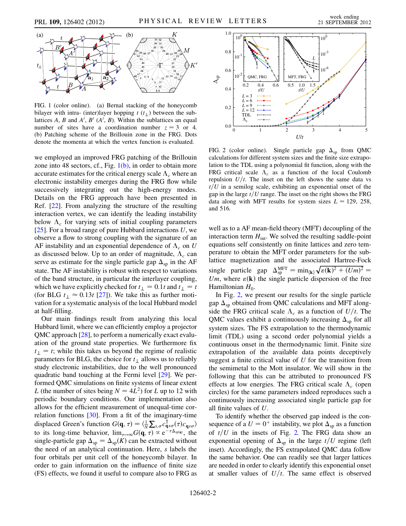<span id="page-1-2"></span>

<span id="page-1-0"></span>FIG. 1 (color online). (a) Bernal stacking of the honeycomb bilayer with intra- (inter)layer hopping  $t(t)$  between the sublattices  $A$ ,  $B$  and  $A'$ ,  $B'$   $(A', B)$ . Within the sublattices an equal number of sites have a coordination number  $z = 3$  or 4. (b) Patching scheme of the Brillouin zone in the FRG. Dots denote the momenta at which the vertex function is evaluated.

we employed an improved FRG patching of the Brillouin zone into 48 sectors, cf., Fig.  $1(b)$ , in order to obtain more accurate estimates for the critical energy scale  $\Lambda_c$  where an electronic instability emerges during the FRG flow while successively integrating out the high-energy modes. Details on the FRG approach have been presented in Ref. [[22](#page-4-0)]. From analyzing the structure of the resulting interaction vertex, we can identify the leading instability below  $\Lambda_c$  for varying sets of initial coupling parameters [\[25\]](#page-4-2). For a broad range of pure Hubbard interactions  $U$ , we observe a flow to strong coupling with the signature of an AF instability and an exponential dependence of  $\Lambda_c$  on U as discussed below. Up to an order of magnitude,  $\Lambda_c$  can serve as estimate for the single particle gap  $\Delta_{\text{sp}}$  in the AF state. The AF instability is robust with respect to variations of the band structure, in particular the interlayer coupling, which we have explicitly checked for  $t_{\perp} = 0.1t$  and  $t_{\perp} = t$ (for BLG  $t_{\perp} \approx 0.13t$  [\[27](#page-4-4)]). We take this as further motivation for a systematic analysis of the local Hubbard model at half-filling.

Our main findings result from analyzing this local Hubbard limit, where we can efficiently employ a projector QMC approach [\[28\]](#page-4-5), to perform a numerically exact evaluation of the ground state properties. We furthermore fix  $t_{\perp} = t$ ; while this takes us beyond the regime of realistic parameters for BLG the choice for  $t_{\perp}$  allows us to reliably parameters for BLG, the choice for  $t<sub>1</sub>$  allows us to reliably study electronic instabilities, due to the well pronounced quadratic band touching at the Fermi level [[29](#page-4-6)]. We performed QMC simulations on finite systems of linear extent L (the number of sites being  $N = 4L^2$ ) for L up to 12 with periodic boundary conditions. Our implementation also allows for the efficient measurement of unequal-time correlation functions [\[30\]](#page-4-7). From a fit of the imaginary-time displaced Green's function  $G(\mathbf{q}, \tau) = \langle \frac{1}{N} \sum_{s,\sigma} c_{\mathbf{q}s\sigma}^{\dagger}(\tau) c_{\mathbf{q}s\sigma}$ to its long-time behavior,  $\lim_{\tau \to \infty} G(\mathbf{q}, \tau) \propto e^{-\tau \Delta_{\text{sp}(q)}}$ , the<br>single-particle gap  $\Lambda = \Lambda$  (K) can be extracted without single-particle gap  $\Delta_{sp} = \Delta_{sp}(K)$  can be extracted without the need of an analytical continuation. Here, s labels the four orbitals per unit cell of the honeycomb bilayer. In order to gain information on the influence of finite size (FS) effects, we found it useful to compare also to FRG as

<span id="page-1-1"></span>

FIG. 2 (color online). Single particle gap  $\Delta_{\text{sp}}$  from QMC calculations for different system sizes and the finite size extrapolation to the TDL using a polynomial fit function, along with the FRG critical scale  $\Lambda_c$  as a function of the local Coulomb repulsion  $U/t$ . The inset on the left shows the same data vs  $t/U$  in a semilog scale, exhibiting an exponential onset of the gap in the large  $t/U$  range. The inset on the right shows the FRG data along with MFT results for system sizes  $L = 129, 258,$ and 516.

well as to a AF mean-field theory (MFT) decoupling of the interaction term  $H_{int}$ . We solved the resulting saddle-point equations self consistently on finite lattices and zero temperature to obtain the MFT order parameters for the sublattice magnetization and the associated Hartree-Fock single particle gap  $\Delta_{\text{sp}}^{\text{MFT}} = \min_{\{k\}} \sqrt{\varepsilon(k)^2 + (Um)^2} =$ <br>*Um* where  $\varepsilon(k)$  the single particle dispersion of the free Um, where  $\varepsilon(\mathbf{k})$  the single particle dispersion of the free Hamiltonian  $H_0$ .

In Fig. [2](#page-1-1), we present our results for the single particle gap  $\Delta_{\text{sp}}$  obtained from QMC calculations and MFT alongside the FRG critical scale  $\Lambda_c$  as a function of  $U/t$ . The QMC values exhibit a continuously increasing  $\Delta_{sp}$  for all system sizes. The FS extrapolation to the thermodynamic limit (TDL) using a second order polynomial yields a continuous onset in the thermodynamic limit. Finite size extrapolation of the available data points deceptively suggest a finite critical value of U for the transition from the semimetal to the Mott insulator. We will show in the following that this can be attributed to pronounced FS effects at low energies. The FRG critical scale  $\Lambda_c$  (open circles) for the same parameters indeed reproduces such a continuously increasing associated single particle gap for all finite values of U.

To identify whether the observed gap indeed is the consequence of a  $U = 0^+$  instability, we plot  $\Delta_{\text{sp}}$  as a function<br>of  $t/U$  in the insets of Fig. 2. The FPG data show an of  $t/U$  in the insets of Fig. [2.](#page-1-1) The FRG data show an exponential opening of  $\Delta_{\text{sp}}$  in the large  $t/U$  regime (left inset). Accordingly, the FS extrapolated QMC data follow the same behavior. One can readily see that larger lattices are needed in order to clearly identify this exponential onset at smaller values of  $U/t$ . The same effect is observed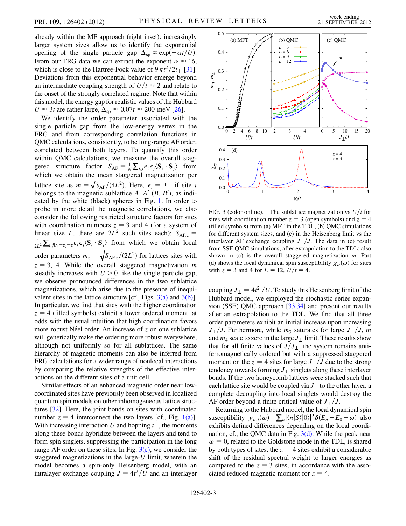already within the MF approach (right inset): increasingly larger system sizes allow us to identify the exponential opening of the single particle gap  $\Delta_{\text{sp}} \propto \exp(-\alpha t/U)$ .<br>From our EPG data we can extract the exponent  $\alpha \approx 16$ . From our FRG data we can extract the exponent  $\alpha \approx 16$ , which is close to the Hartree-Fock value of  $9\pi t^2/2t$  [[31](#page-4-8)]. Deviations from this exponential behavior emerge beyond an intermediate coupling strength of  $U/t \approx 2$  and relate to the onset of the strongly correlated regime. Note that within this model, the energy gap for realistic values of the Hubbard  $U \approx 3t$  are rather large,  $\Delta_{\rm sp} \approx 0.07t \approx 200$  meV [\[26](#page-4-3)].<br>We identify the order parameter associated with

We identify the order parameter associated with the single particle gap from the low-energy vertex in the FRG and from corresponding correlation functions in QMC calculations, consistently, to be long-range AF order, correlated between both layers. To quantify this order within QMC calculations, we measure the overall staggered structure factor  $S_{AF} = \frac{1}{N} \sum_{i,j} \epsilon_i \epsilon_j \langle S_i \cdot S_j \rangle$  from which we obtain the mean staggered magnetization per lattice site as  $m = \sqrt{S_{AF}/(4L^2)}$ . Here,  $\epsilon_i = \pm 1$  if site *i* helongs to the magnetic sublattice *A A'* (*R R'*) as indibelongs to the magnetic sublattice  $A, A'$   $(B, B')$ , as indicated by the white (black) spheres in Fig. [1](#page-1-2). In order to probe in more detail the magnetic correlations, we also consider the following restricted structure factors for sites with coordination numbers  $z = 3$  and 4 (for a system of linear size L, there are  $2L^2$  such sites each):  $S_{AF,z}$  =  $\frac{1}{2L^2}\sum_{i,j|z_i=z_j=z}\epsilon_i\epsilon_j\langle\mathbf{S}_i\cdot\mathbf{S}_j\rangle$  from which we obtain local order parameters  $m_z = \sqrt{S_{AF,z}/(2L^2)}$  for lattices sites with  $z = 3$ , 4. While the overall staggered magnetization m steadily increases with  $U > 0$  like the single particle gap, we observe pronounced differences in the two sublattice magnetizations, which arise due to the presence of inequivalent sites in the lattice structure [cf., Figs.  $3(a)$  and  $3(b)$ ]. In particular, we find that sites with the higher coordination  $z = 4$  (filled symbols) exhibit a lower ordered moment, at odds with the usual intuition that high coordination favors more robust Néel order. An increase of  $z$  on one sublattice will generically make the ordering more robust everywhere, although not uniformly so for all sublattices. The same hierarchy of magnetic moments can also be inferred from FRG calculations for a wider range of nonlocal interactions by comparing the relative strengths of the effective interactions on the different sites of a unit cell.

Similar effects of an enhanced magnetic order near lowcoordinated sites have previously been observed in localized quantum spin models on other inhomogeneous lattice structures [[32](#page-4-9)]. Here, the joint bonds on sites with coordinated number  $z = 4$  interconnect the two layers [cf., Fig. [1\(a\)](#page-1-0)]. With increasing interaction U and hopping  $t<sub>1</sub>$ , the moments along these bonds hybridize between the layers and tend to form spin singlets, suppressing the participation in the long range AF order on these sites. In Fig.  $3(c)$ , we consider the staggered magnetizations in the large- $U$  limit, wherein the model becomes a spin-only Heisenberg model, with an intralayer exchange coupling  $J = 4t^2/U$  and an interlayer



<span id="page-2-0"></span>FIG. 3 (color online). The sublattice magnetization vs  $U/t$  for sites with coordination number  $z = 3$  (open symbols) and  $z = 4$ (filled symbols) from (a) MFT in the TDL, (b) QMC simulations for different system sizes, and (c) in the Heisenberg limit vs the interlayer AF exchange coupling  $J_{\perp}/J$ . The data in (c) result from SSE QMC simulations, after extrapolation to the TDL; also shown in  $(c)$  is the overall staggered magnetization  $m$ . Part (d) shows the local dynamical spin susceptibility  $\chi_{\sigma}(\omega)$  for sites with  $z = 3$  and 4 for  $L = 12$   $H/t = 4$ with  $z = 3$  and 4 for  $L = 12$ ,  $U/t = 4$ .

coupling  $J_{\perp} = 4t_{\perp}^2/U$ . To study this Heisenberg limit of the Hubbard model, we employed the stochastic series expan-Hubbard model, we employed the stochastic series expansion (SSE) QMC approach [[33](#page-4-10),[34\]](#page-4-11) and present our results after an extrapolation to the TDL. We find that all three order parameters exhibit an initial increase upon increasing  $J_{\perp}/J$ . Furthermore, while  $m_3$  saturates for large  $J_{\perp}/J$ , m<br>and m<sub>e</sub> scale to zero in the large  $I_{\perp}$  limit. These results show and  $m_4$  scale to zero in the large  $J_{\perp}$  limit. These results show that for all finite values of  $J/J_{\perp}$ , the system remains antiferromagnetically ordered but with a suppressed staggered moment on the  $z = 4$  sites for large  $J_1/J$  due to the strong tendency towards forming  $J_{\perp}$  singlets along these interlayer bonds. If the two honeycomb lattices were stacked such that each lattice site would be coupled via  $J_{\perp}$  to the other layer, a complete decoupling into local singlets would destroy the AF order beyond a finite critical value of  $J_{\perp}/J$ .

Returning to the Hubbard model, the local dynamical spin susceptibility  $\chi_{\sigma,i}(\omega) = \sum_{n} |\langle n|S_i^x|0\rangle|^2 \delta(E_n - E_0 - \omega)$  also<br>exhibits defined differences depending on the local coordiexhibits defined differences depending on the local coordination, cf., the QMC data in Fig.  $3(d)$ . While the peak near  $\omega = 0$ , related to the Goldstone mode in the TDL, is shared by both types of sites, the  $z = 4$  sites exhibit a considerable shift of the residual spectral weight to larger energies as compared to the  $z = 3$  sites, in accordance with the associated reduced magnetic moment for  $z = 4$ .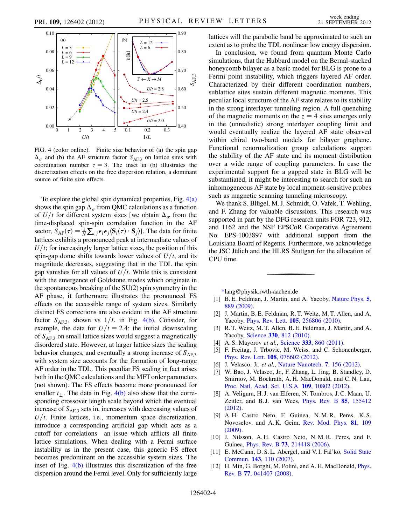

<span id="page-3-7"></span>FIG. 4 (color online). Finite size behavior of (a) the spin gap  $\Delta_{\sigma}$  and (b) the AF structure factor  $S_{AF,3}$  on lattice sites with coordination number  $z = 3$ . The inset in (b) illustrates the discretization effects on the free dispersion relation, a dominant source of finite size effects.

To explore the global spin dynamical properties, Fig. [4\(a\)](#page-3-7) shows the spin gap  $\Delta_{\sigma}$  from QMC calculations as a function of  $U/t$  for different system sizes [we obtain  $\Delta_{\sigma}$  from the time-displaced spin-spin correlation function in the AF sector,  $\hat{S}_{AF}(\tau) = \frac{1}{N} \sum_{i,j} \epsilon_i \epsilon_j \langle S_i(\tau) \cdot S_j \rangle$ . The data for finite lattices exhibits a pronounced peak at intermediate values of  $U/t$ ; for increasingly larger lattice sizes, the position of this spin-gap dome shifts towards lower values of  $U/t$ , and its magnitude decreases, suggesting that in the TDL the spin gap vanishes for all values of  $U/t$ . While this is consistent with the emergence of Goldstone modes which originate in the spontaneous breaking of the SU(2) spin symmetry in the AF phase, it furthermore illustrates the pronounced FS effects on the accessible range of system sizes. Similarly distinct FS corrections are also evident in the AF structure factor  $S_{AF,3}$ , shown vs  $1/L$  in Fig. [4\(b\)](#page-3-7). Consider, for example, the data for  $U/t = 2.4$ : the initial downscaling of  $S_{\text{AE}3}$  on small lattice sizes would suggest a magnetically disordered state. However, at larger lattice sizes the scaling behavior changes, and eventually a strong increase of  $S_{\text{AE}3}$ with system size accounts for the formation of long-range AF order in the TDL. This peculiar FS scaling in fact arises both in the QMC calculations and the MFT order parameters (not shown). The FS effects become more pronounced for smaller  $t_{\perp}$ . The data in Fig. [4\(b\)](#page-3-7) also show that the corresponding crossover length scale beyond which the eventual increase of  $S_{AF3}$  sets in, increases with decreasing values of  $U/t$ . Finite lattices, i.e., momentum space discretization, introduce a corresponding artificial gap which acts as a cutoff for correlations—an issue which afflicts all finite lattice simulations. When dealing with a Fermi surface instability as in the present case, this generic FS effect becomes predominant on the accessible system sizes. The inset of Fig. [4\(b\)](#page-3-7) illustrates this discretization of the free dispersion around the Fermi level. Only for sufficiently large lattices will the parabolic band be approximated to such an extent as to probe the TDL nonlinear low energy dispersion.

In conclusion, we found from quantum Monte Carlo simulations, that the Hubbard model on the Bernal-stacked honeycomb bilayer as a basic model for BLG is prone to a Fermi point instability, which triggers layered AF order. Characterized by their different coordination numbers, sublattice sites sustain different magnetic moments. This peculiar local structure of the AF state relates to its stability in the strong interlayer tunneling region. A full quenching of the magnetic moments on the  $z = 4$  sites emerges only in the (unrealistic) strong interlayer coupling limit and would eventually realize the layered AF state observed within chiral two-band models for bilayer graphene. Functional renormalization group calculations support the stability of the AF state and its moment distribution over a wide range of coupling parameters. In case the experimental support for a gapped state in BLG will be substantiated, it might be interesting to search for such an inhomogeneous AF state by local moment-sensitive probes such as magnetic scanning tunneling microscopy.

We thank S. Blügel, M. J. Schmidt, O. Vafek, T. Wehling, and F. Zhang for valuable discussions. This research was supported in part by the DFG research units FOR 723, 912, and 1162 and the NSF EPSCoR Cooperative Agreement No. EPS-1003897 with additional support from the Louisiana Board of Regents. Furthermore, we acknowledge the JSC Jülich and the HLRS Stuttgart for the allocation of CPU time.

[\\*l](#page-0-0)ang@physik.rwth-aachen.de

- <span id="page-3-1"></span><span id="page-3-0"></span>[1] B. E. Feldman, J. Martin, and A. Yacoby, [Nature Phys.](http://dx.doi.org/10.1038/nphys1406) 5, [889 \(2009\)](http://dx.doi.org/10.1038/nphys1406).
- [2] J. Martin, B. E. Feldman, R. T. Weitz, M. T. Allen, and A. Yacoby, Phys. Rev. Lett. 105[, 256806 \(2010\).](http://dx.doi.org/10.1103/PhysRevLett.105.256806)
- [3] R. T. Weitz, M. T. Allen, B. E. Feldman, J. Martin, and A. Yacoby, Science 330[, 812 \(2010\).](http://dx.doi.org/10.1126/science.1194988)
- <span id="page-3-6"></span><span id="page-3-5"></span>[4] A. S. Mayorov et al., Science 333[, 860 \(2011\).](http://dx.doi.org/10.1126/science.1208683)
- [5] F. Freitag, J. Trbovic, M. Weiss, and C. Schonenberger, Phys. Rev. Lett. 108[, 076602 \(2012\).](http://dx.doi.org/10.1103/PhysRevLett.108.076602)
- [6] J. Velasco, Jr. *et al.*, [Nature Nanotech.](http://dx.doi.org/10.1038/nnano.2011.251) 7, 156 (2012).
- [7] W. Bao, J. Velasco, Jr., F. Zhang, L. Jing, B. Standley, D. Smirnov, M. Bockrath, A. H. MacDonald, and C. N. Lau, [Proc. Natl. Acad. Sci. U.S.A.](http://dx.doi.org/10.1073/pnas.1205978109) 109, 10802 (2012).
- <span id="page-3-2"></span>[8] A. Veligura, H. J. van Elferen, N. Tombros, J. C. Maan, U. Zeitler, and B.J. van Wees, [Phys. Rev. B](http://dx.doi.org/10.1103/PhysRevB.85.155412) 85, 155412 [\(2012\)](http://dx.doi.org/10.1103/PhysRevB.85.155412).
- <span id="page-3-3"></span>[9] A. H. Castro Neto, F. Guinea, N. M. R. Peres, K. S. Novoselov, and A. K. Geim, [Rev. Mod. Phys.](http://dx.doi.org/10.1103/RevModPhys.81.109) 81, 109 [\(2009\)](http://dx.doi.org/10.1103/RevModPhys.81.109).
- <span id="page-3-4"></span>[10] J. Nilsson, A. H. Castro Neto, N. M. R. Peres, and F. Guinea, Phys. Rev. B 73[, 214418 \(2006\)](http://dx.doi.org/10.1103/PhysRevB.73.214418).
- [11] E. McCann, D. S. L. Abergel, and V. I. Fal'ko, [Solid State](http://dx.doi.org/10.1016/j.ssc.2007.03.054) Commun. 143[, 110 \(2007\).](http://dx.doi.org/10.1016/j.ssc.2007.03.054)
- [12] H. Min, G. Borghi, M. Polini, and A. H. MacDonald, *[Phys.](http://dx.doi.org/10.1103/PhysRevB.77.041407)* Rev. B 77[, 041407 \(2008\).](http://dx.doi.org/10.1103/PhysRevB.77.041407)